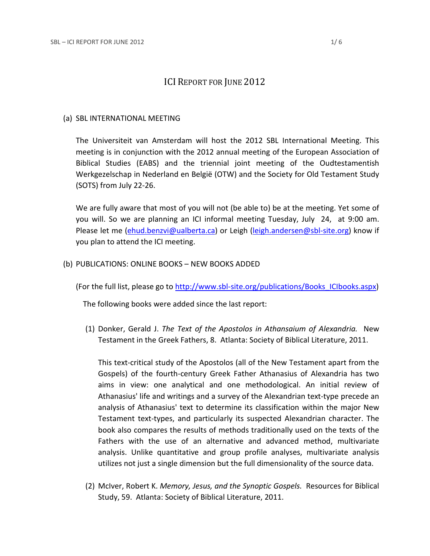# ICI REPORT FOR JUNE 2012

### (a) SBL INTERNATIONAL MEETING

The Universiteit van Amsterdam will host the 2012 SBL International Meeting. This meeting is in conjunction with the 2012 annual meeting of the European Association of Biblical Studies (EABS) and the triennial joint meeting of the Oudtestamentish Werkgezelschap in Nederland en België (OTW) and the Society for Old Testament Study (SOTS) from July 22-26.

We are fully aware that most of you will not (be able to) be at the meeting. Yet some of you will. So we are planning an ICI informal meeting Tuesday, July 24, at 9:00 am. Please let me [\(ehud.benzvi@ualberta.ca\)](mailto:ehud.benzvi@ualberta.ca) or Leigh [\(leigh.andersen@sbl-site.org\)](mailto:leigh.andersen@sbl-site.org) know if you plan to attend the ICI meeting.

### (b) PUBLICATIONS: ONLINE BOOKS – NEW BOOKS ADDED

(For the full list, please go to [http://www.sbl-site.org/publications/Books\\_ICIbooks.aspx\)](http://www.sbl-site.org/publications/Books_ICIbooks.aspx)

The following books were added since the last report:

(1) Donker, Gerald J. *The Text of the Apostolos in Athansaium of Alexandria.* New Testament in the Greek Fathers, 8. Atlanta: Society of Biblical Literature, 2011.

This text-critical study of the Apostolos (all of the New Testament apart from the Gospels) of the fourth-century Greek Father Athanasius of Alexandria has two aims in view: one analytical and one methodological. An initial review of Athanasius' life and writings and a survey of the Alexandrian text-type precede an analysis of Athanasius' text to determine its classification within the major New Testament text-types, and particularly its suspected Alexandrian character. The book also compares the results of methods traditionally used on the texts of the Fathers with the use of an alternative and advanced method, multivariate analysis. Unlike quantitative and group profile analyses, multivariate analysis utilizes not just a single dimension but the full dimensionality of the source data.

(2) McIver, Robert K. *Memory, Jesus, and the Synoptic Gospels.* Resources for Biblical Study, 59. Atlanta: Society of Biblical Literature, 2011.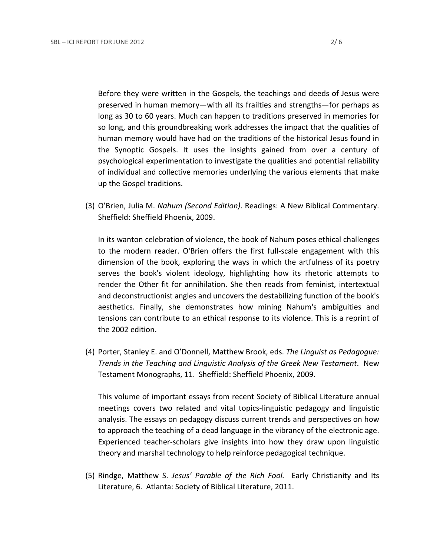Before they were written in the Gospels, the teachings and deeds of Jesus were preserved in human memory—with all its frailties and strengths—for perhaps as long as 30 to 60 years. Much can happen to traditions preserved in memories for so long, and this groundbreaking work addresses the impact that the qualities of human memory would have had on the traditions of the historical Jesus found in the Synoptic Gospels. It uses the insights gained from over a century of psychological experimentation to investigate the qualities and potential reliability of individual and collective memories underlying the various elements that make up the Gospel traditions.

(3) O'Brien, Julia M. *Nahum (Second Edition)*. Readings: A New Biblical Commentary. Sheffield: Sheffield Phoenix, 2009.

In its wanton celebration of violence, the book of Nahum poses ethical challenges to the modern reader. O'Brien offers the first full-scale engagement with this dimension of the book, exploring the ways in which the artfulness of its poetry serves the book's violent ideology, highlighting how its rhetoric attempts to render the Other fit for annihilation. She then reads from feminist, intertextual and deconstructionist angles and uncovers the destabilizing function of the book's aesthetics. Finally, she demonstrates how mining Nahum's ambiguities and tensions can contribute to an ethical response to its violence. This is a reprint of the 2002 edition.

(4) Porter, Stanley E. and O'Donnell, Matthew Brook, eds. *The Linguist as Pedagogue: Trends in the Teaching and Linguistic Analysis of the Greek New Testament*. New Testament Monographs, 11. Sheffield: Sheffield Phoenix, 2009.

This volume of important essays from recent Society of Biblical Literature annual meetings covers two related and vital topics-linguistic pedagogy and linguistic analysis. The essays on pedagogy discuss current trends and perspectives on how to approach the teaching of a dead language in the vibrancy of the electronic age. Experienced teacher-scholars give insights into how they draw upon linguistic theory and marshal technology to help reinforce pedagogical technique.

(5) Rindge, Matthew S. *Jesus' Parable of the Rich Fool.* Early Christianity and Its Literature, 6. Atlanta: Society of Biblical Literature, 2011.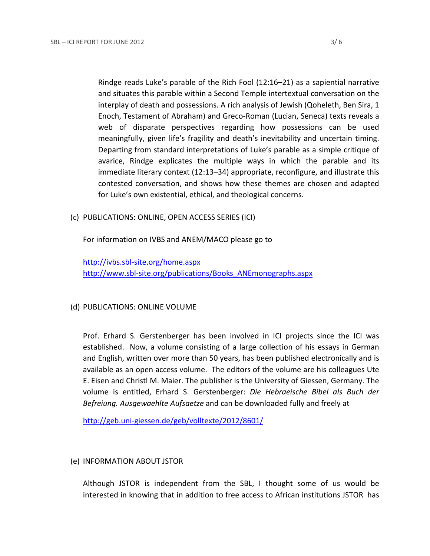Rindge reads Luke's parable of the Rich Fool (12:16–21) as a sapiential narrative and situates this parable within a Second Temple intertextual conversation on the interplay of death and possessions. A rich analysis of Jewish (Qoheleth, Ben Sira, 1 Enoch, Testament of Abraham) and Greco-Roman (Lucian, Seneca) texts reveals a web of disparate perspectives regarding how possessions can be used meaningfully, given life's fragility and death's inevitability and uncertain timing. Departing from standard interpretations of Luke's parable as a simple critique of avarice, Rindge explicates the multiple ways in which the parable and its immediate literary context (12:13–34) appropriate, reconfigure, and illustrate this contested conversation, and shows how these themes are chosen and adapted for Luke's own existential, ethical, and theological concerns.

(c) PUBLICATIONS: ONLINE, OPEN ACCESS SERIES (ICI)

For information on IVBS and ANEM/MACO please go to

<http://ivbs.sbl-site.org/home.aspx> [http://www.sbl-site.org/publications/Books\\_ANEmonographs.aspx](http://www.sbl-site.org/publications/Books_ANEmonographs.aspx)

### (d) PUBLICATIONS: ONLINE VOLUME

Prof. Erhard S. Gerstenberger has been involved in ICI projects since the ICI was established. Now, a volume consisting of a large collection of his essays in German and English, written over more than 50 years, has been published electronically and is available as an open access volume. The editors of the volume are his colleagues Ute E. Eisen and Christl M. Maier. The publisher is the University of Giessen, Germany. The volume is entitled, Erhard S. Gerstenberger: *Die Hebraeische Bibel als Buch der Befreiung. Ausgewaehlte Aufsaetze* and can be downloaded fully and freely at

<http://geb.uni-giessen.de/geb/volltexte/2012/8601/>

## (e) INFORMATION ABOUT JSTOR

Although JSTOR is independent from the SBL, I thought some of us would be interested in knowing that in addition to free access to African institutions JSTOR has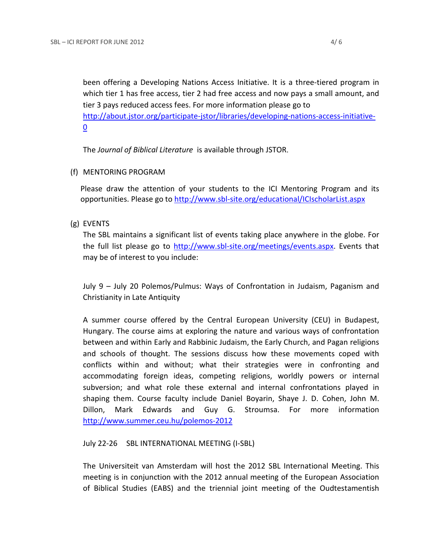been offering a Developing Nations Access Initiative. It is a three-tiered program in which tier 1 has free access, tier 2 had free access and now pays a small amount, and tier 3 pays reduced access fees. For more information please go to [http://about.jstor.org/participate-jstor/libraries/developing-nations-access-initiative-](http://about.jstor.org/participate-jstor/libraries/developing-nations-access-initiative-0)[0](http://about.jstor.org/participate-jstor/libraries/developing-nations-access-initiative-0)

The *Journal of Biblical Literature* is available through JSTOR.

(f) MENTORING PROGRAM

Please draw the attention of your students to the ICI Mentoring Program and its opportunities. Please go to<http://www.sbl-site.org/educational/ICIscholarList.aspx>

(g) EVENTS

The SBL maintains a significant list of events taking place anywhere in the globe. For the full list please go to [http://www.sbl-site.org/meetings/events.aspx.](http://www.sbl-site.org/meetings/events.aspx) Events that may be of interest to you include:

July 9 – July 20 Polemos/Pulmus: Ways of Confrontation in Judaism, Paganism and Christianity in Late Antiquity

A summer course offered by the Central European University (CEU) in Budapest, Hungary. The course aims at exploring the nature and various ways of confrontation between and within Early and Rabbinic Judaism, the Early Church, and Pagan religions and schools of thought. The sessions discuss how these movements coped with conflicts within and without; what their strategies were in confronting and accommodating foreign ideas, competing religions, worldly powers or internal subversion; and what role these external and internal confrontations played in shaping them. Course faculty include Daniel Boyarin, Shaye J. D. Cohen, John M. Dillon, Mark Edwards and Guy G. Stroumsa. For more information <http://www.summer.ceu.hu/polemos-2012>

### July 22-26 SBL INTERNATIONAL MEETING (I-SBL)

The Universiteit van Amsterdam will host the 2012 SBL International Meeting. This meeting is in conjunction with the 2012 annual meeting of the European Association of Biblical Studies (EABS) and the triennial joint meeting of the Oudtestamentish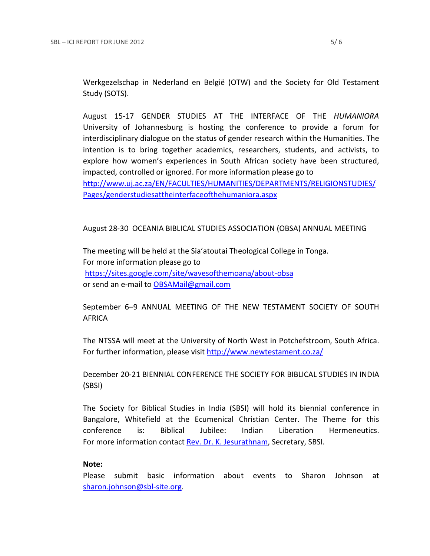Werkgezelschap in Nederland en België (OTW) and the Society for Old Testament Study (SOTS).

August 15-17 GENDER STUDIES AT THE INTERFACE OF THE *HUMANIORA* University of Johannesburg is hosting the conference to provide a forum for interdisciplinary dialogue on the status of gender research within the Humanities. The intention is to bring together academics, researchers, students, and activists, to explore how women's experiences in South African society have been structured, impacted, controlled or ignored. For more information please go to [http://www.uj.ac.za/EN/FACULTIES/HUMANITIES/DEPARTMENTS/RELIGIONSTUDIES/](http://www.uj.ac.za/EN/FACULTIES/HUMANITIES/DEPARTMENTS/RELIGIONSTUDIES/Pages/genderstudiesattheinterfaceofthehumaniora.aspx)

[Pages/genderstudiesattheinterfaceofthehumaniora.aspx](http://www.uj.ac.za/EN/FACULTIES/HUMANITIES/DEPARTMENTS/RELIGIONSTUDIES/Pages/genderstudiesattheinterfaceofthehumaniora.aspx)

August 28-30 OCEANIA BIBLICAL STUDIES ASSOCIATION (OBSA) ANNUAL MEETING

The meeting will be held at the Sia'atoutai Theological College in Tonga. For more information please go to <https://sites.google.com/site/wavesofthemoana/about-obsa> or send an e-mail to [OBSAMail@gmail.com](mailto:OBSAMail@gmail.com)

September 6–9 ANNUAL MEETING OF THE NEW TESTAMENT SOCIETY OF SOUTH AFRICA

The NTSSA will meet at the University of North West in Potchefstroom, South Africa. For further information, please visit <http://www.newtestament.co.za/>

December 20-21 BIENNIAL CONFERENCE THE SOCIETY FOR BIBLICAL STUDIES IN INDIA (SBSI)

The Society for Biblical Studies in India (SBSI) will hold its biennial conference in Bangalore, Whitefield at the Ecumenical Christian Center. The Theme for this conference is: Biblical Jubilee: Indian Liberation Hermeneutics. For more information contac[t Rev. Dr. K. Jesurathnam,](mailto:%20%20%20%20%20%20%20%20%20%20%20%20%20%20%20%20%20%20%20%20%20%20%20%20jesu.rathnam@gmail.com) Secretary, SBSI.

### **Note:**

Please submit basic information about events to Sharon Johnson at [sharon.johnson@sbl-site.org.](mailto:sharon.johnson@sbl-site.org)